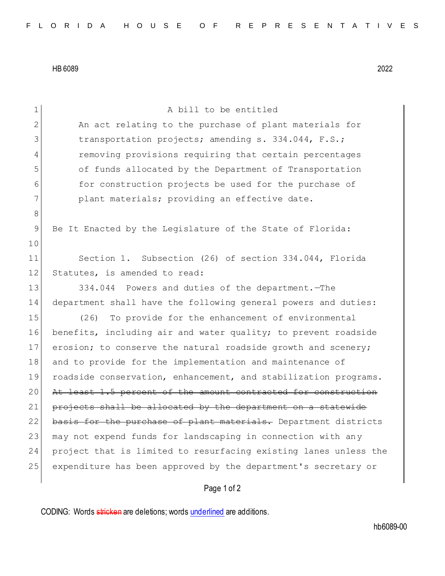HB 6089 2022

1 A bill to be entitled 2 An act relating to the purchase of plant materials for 3 transportation projects; amending s. 334.044, F.S.; 4 removing provisions requiring that certain percentages 5 of funds allocated by the Department of Transportation 6 for construction projects be used for the purchase of 7 plant materials; providing an effective date. 8 9 Be It Enacted by the Legislature of the State of Florida: 10 11 Section 1. Subsection (26) of section 334.044, Florida 12 Statutes, is amended to read: 13 334.044 Powers and duties of the department. - The 14 department shall have the following general powers and duties: 15 (26) To provide for the enhancement of environmental 16 benefits, including air and water quality; to prevent roadside 17 erosion; to conserve the natural roadside growth and scenery; 18 and to provide for the implementation and maintenance of 19 roadside conservation, enhancement, and stabilization programs. 20 At least 1.5 percent of the amount contracted for construction 21 projects shall be allocated by the department on a statewide 22 basis for the purchase of plant materials. Department districts 23 may not expend funds for landscaping in connection with any 24 project that is limited to resurfacing existing lanes unless the 25 expenditure has been approved by the department's secretary or

Page 1 of 2

CODING: Words stricken are deletions; words underlined are additions.